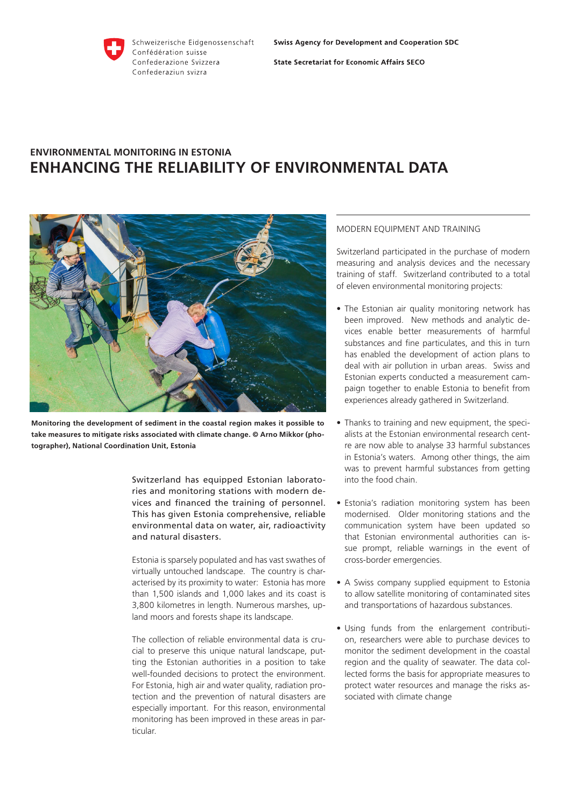

**State Secretariat for Economic Affairs SECO** 

# **ENVIRONMENTAL MONITORING IN ESTONIA ENHANCING THE RELIABILITY OF ENVIRONMENTAL DATA**



**Monitoring the development of sediment in the coastal region makes it possible to take measures to mitigate risks associated with climate change. © Arno Mikkor (photographer), National Coordination Unit, Estonia**

Switzerland has equipped Estonian laboratories and monitoring stations with modern devices and financed the training of personnel. This has given Estonia comprehensive, reliable environmental data on water, air, radioactivity and natural disasters.

Estonia is sparsely populated and has vast swathes of virtually untouched landscape. The country is characterised by its proximity to water: Estonia has more than 1,500 islands and 1,000 lakes and its coast is 3,800 kilometres in length. Numerous marshes, upland moors and forests shape its landscape.

The collection of reliable environmental data is crucial to preserve this unique natural landscape, putting the Estonian authorities in a position to take well-founded decisions to protect the environment. For Estonia, high air and water quality, radiation protection and the prevention of natural disasters are especially important. For this reason, environmental monitoring has been improved in these areas in particular.

## MODERN EQUIPMENT AND TRAINING

Switzerland participated in the purchase of modern measuring and analysis devices and the necessary training of staff. Switzerland contributed to a total of eleven environmental monitoring projects:

- The Estonian air quality monitoring network has been improved. New methods and analytic devices enable better measurements of harmful substances and fine particulates, and this in turn has enabled the development of action plans to deal with air pollution in urban areas. Swiss and Estonian experts conducted a measurement campaign together to enable Estonia to benefit from experiences already gathered in Switzerland.
- Thanks to training and new equipment, the specialists at the Estonian environmental research centre are now able to analyse 33 harmful substances in Estonia's waters. Among other things, the aim was to prevent harmful substances from getting into the food chain.
- Estonia's radiation monitoring system has been modernised. Older monitoring stations and the communication system have been updated so that Estonian environmental authorities can issue prompt, reliable warnings in the event of cross-border emergencies.
- A Swiss company supplied equipment to Estonia to allow satellite monitoring of contaminated sites and transportations of hazardous substances.
- Using funds from the enlargement contribution, researchers were able to purchase devices to monitor the sediment development in the coastal region and the quality of seawater. The data collected forms the basis for appropriate measures to protect water resources and manage the risks associated with climate change